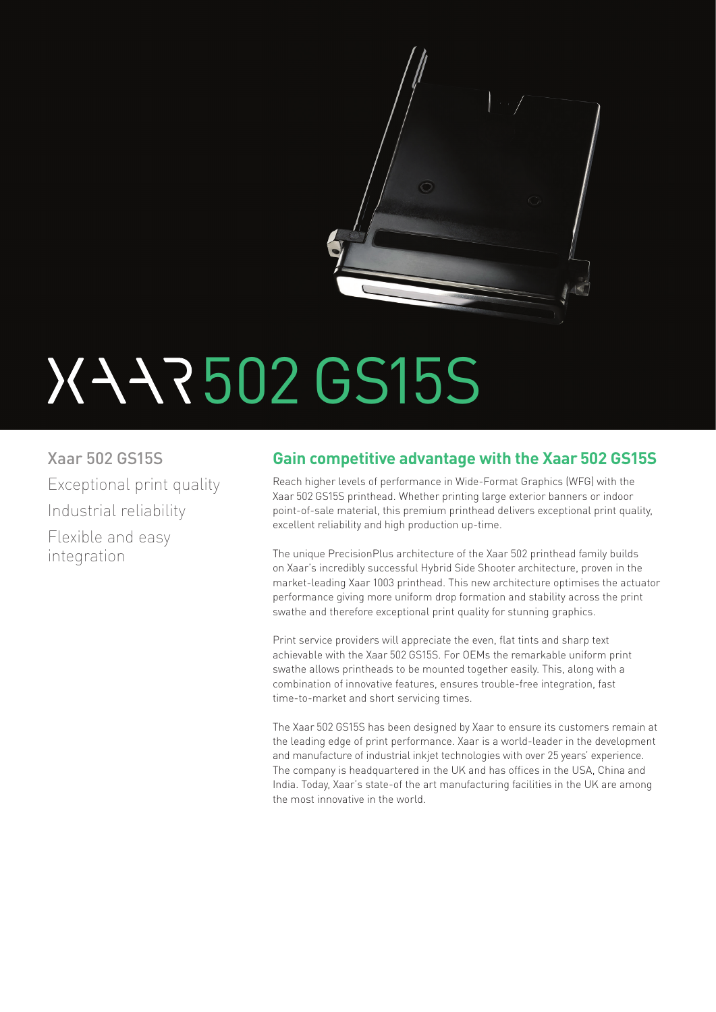

# 502 GS15S

Xaar 502 GS15S Exceptional print quality Industrial reliability Flexible and easy integration

# **Gain competitive advantage with the Xaar 502 GS15S**

Reach higher levels of performance in Wide-Format Graphics (WFG) with the Xaar 502 GS15S printhead. Whether printing large exterior banners or indoor point-of-sale material, this premium printhead delivers exceptional print quality, excellent reliability and high production up-time.

The unique PrecisionPlus architecture of the Xaar 502 printhead family builds on Xaar's incredibly successful Hybrid Side Shooter architecture, proven in the market-leading Xaar 1003 printhead. This new architecture optimises the actuator performance giving more uniform drop formation and stability across the print swathe and therefore exceptional print quality for stunning graphics.

Print service providers will appreciate the even, flat tints and sharp text achievable with the Xaar 502 GS15S. For OEMs the remarkable uniform print swathe allows printheads to be mounted together easily. This, along with a combination of innovative features, ensures trouble-free integration, fast time-to-market and short servicing times.

The Xaar 502 GS15S has been designed by Xaar to ensure its customers remain at the leading edge of print performance. Xaar is a world-leader in the development and manufacture of industrial inkjet technologies with over 25 years' experience. The company is headquartered in the UK and has offices in the USA, China and India. Today, Xaar's state-of the art manufacturing facilities in the UK are among the most innovative in the world.